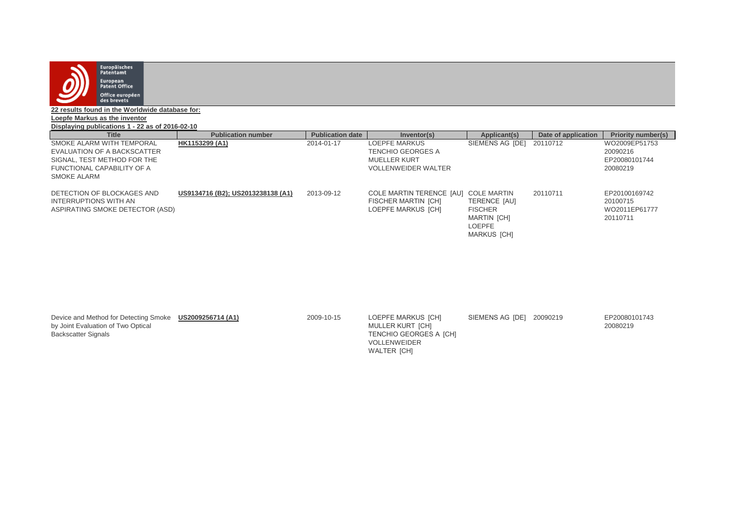

**22 results found in the Worldwide database for:**

**Loepfe Markus as the inventor**

**Displaying publications 1 - 22 as of 2016-02-10**

| <b>Title</b>                                                                           | <b>Publication number</b>         | <b>Publication date</b> | Inventor(s)                                                                  | Applicant(s)                                                                                                      | Date of application | <b>Priority number(s)</b>                              |
|----------------------------------------------------------------------------------------|-----------------------------------|-------------------------|------------------------------------------------------------------------------|-------------------------------------------------------------------------------------------------------------------|---------------------|--------------------------------------------------------|
| SMOKE ALARM WITH TEMPORAL                                                              | HK1153299 (A1)                    | 2014-01-17              | LOEPFE MARKUS                                                                | SIEMENS AG [DE]                                                                                                   | 20110712            | WO2009EP51753                                          |
| EVALUATION OF A BACKSCATTER                                                            |                                   |                         | <b>TENCHIO GEORGES A</b>                                                     |                                                                                                                   |                     | 20090216                                               |
| SIGNAL, TEST METHOD FOR THE                                                            |                                   |                         | MUELLER KURT                                                                 |                                                                                                                   |                     | EP20080101744                                          |
| FUNCTIONAL CAPABILITY OF A<br>SMOKE ALARM                                              |                                   |                         | <b>VOLLENWEIDER WALTER</b>                                                   |                                                                                                                   |                     | 20080219                                               |
| DETECTION OF BLOCKAGES AND<br>INTERRUPTIONS WITH AN<br>ASPIRATING SMOKE DETECTOR (ASD) | US9134716 (B2); US2013238138 (A1) | 2013-09-12              | COLE MARTIN TERENCE [AU]<br><b>FISCHER MARTIN [CH]</b><br>LOEPFE MARKUS [CH] | <b>COLE MARTIN</b><br>TERENCE [AU]<br><b>FISCHER</b><br><b>MARTIN [CH]</b><br><b>LOEPFE</b><br><b>MARKUS [CH]</b> | 20110711            | EP20100169742<br>20100715<br>WO2011EP61777<br>20110711 |

| Device and Method for Detecting Smoke<br>by Joint Evaluation of Two Optical<br><b>Backscatter Signals</b> | US2009256714 (A1) | 2009-10-15 | LOEPFE MARKUS [CH]<br>MULLER KURT [CH]<br>TENCHIO GEORGES A [CH]<br><b>VOLLENWEIDER</b><br>WALTER [CH] | SIEMENS AG [DE] | 20090219 | EP20080101743<br>20080219 |
|-----------------------------------------------------------------------------------------------------------|-------------------|------------|--------------------------------------------------------------------------------------------------------|-----------------|----------|---------------------------|
|-----------------------------------------------------------------------------------------------------------|-------------------|------------|--------------------------------------------------------------------------------------------------------|-----------------|----------|---------------------------|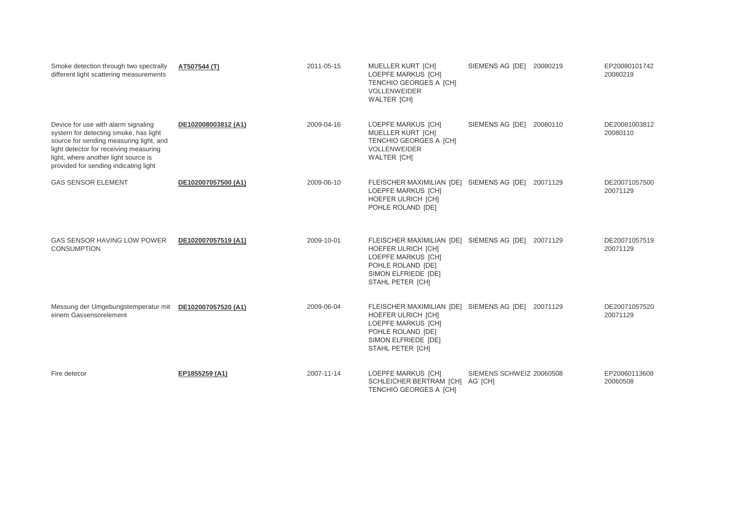| Smoke detection through two spectrally<br>different light scattering measurements                                                                                                                                                                  | AT507544 (T)        | 2011-05-15 | <b>MUELLER KURT [CH]</b><br><b>LOEPFE MARKUS [CH]</b><br>TENCHIO GEORGES A [CH]<br><b>VOLLENWEIDER</b><br><b>WALTER [CH]</b>                                        | SIEMENS AG [DE] 20080219 |          | EP20080101742<br>20080219 |
|----------------------------------------------------------------------------------------------------------------------------------------------------------------------------------------------------------------------------------------------------|---------------------|------------|---------------------------------------------------------------------------------------------------------------------------------------------------------------------|--------------------------|----------|---------------------------|
| Device for use with alarm signaling<br>system for detecting smoke, has light<br>source for sending measuring light, and<br>light detector for receiving measuring<br>light, where another light source is<br>provided for sending indicating light | DE102008003812 (A1) | 2009-04-16 | LOEPFE MARKUS [CH]<br><b>MUELLER KURT [CH]</b><br>TENCHIO GEORGES A [CH]<br><b>VOLLENWEIDER</b><br><b>WALTER [CH]</b>                                               | SIEMENS AG [DE]          | 20080110 | DE20081003812<br>20080110 |
| <b>GAS SENSOR ELEMENT</b>                                                                                                                                                                                                                          | DE102007057500 (A1) | 2009-06-10 | FLEISCHER MAXIMILIAN [DE] SIEMENS AG [DE]<br>LOEPFE MARKUS [CH]<br>HOEFER ULRICH [CH]<br>POHLE ROLAND [DE]                                                          |                          | 20071129 | DE20071057500<br>20071129 |
| <b>GAS SENSOR HAVING LOW POWER</b><br><b>CONSUMPTION</b>                                                                                                                                                                                           | DE102007057519 (A1) | 2009-10-01 | FLEISCHER MAXIMILIAN [DE] SIEMENS AG [DE]<br><b>HOEFER ULRICH [CH]</b><br><b>LOEPFE MARKUS [CH]</b><br>POHLE ROLAND [DE]<br>SIMON ELFRIEDE [DE]<br>STAHL PETER [CH] |                          | 20071129 | DE20071057519<br>20071129 |
| Messung der Umgebungstemperatur mit<br>einem Gassensorelement                                                                                                                                                                                      | DE102007057520 (A1) | 2009-06-04 | FLEISCHER MAXIMILIAN [DE] SIEMENS AG [DE]<br>HOEFER ULRICH [CH]<br>LOEPFE MARKUS [CH]<br>POHLE ROLAND [DE]<br>SIMON ELFRIEDE [DE]<br>STAHL PETER [CH]               |                          | 20071129 | DE20071057520<br>20071129 |
| Fire detecor                                                                                                                                                                                                                                       | EP1855259 (A1)      | 2007-11-14 | LOEPFE MARKUS [CH]<br>SCHLEICHER BERTRAM [CH] AG [CH]<br>TENCHIO GEORGES A [CH]                                                                                     | SIEMENS SCHWEIZ 20060508 |          | EP20060113608<br>20060508 |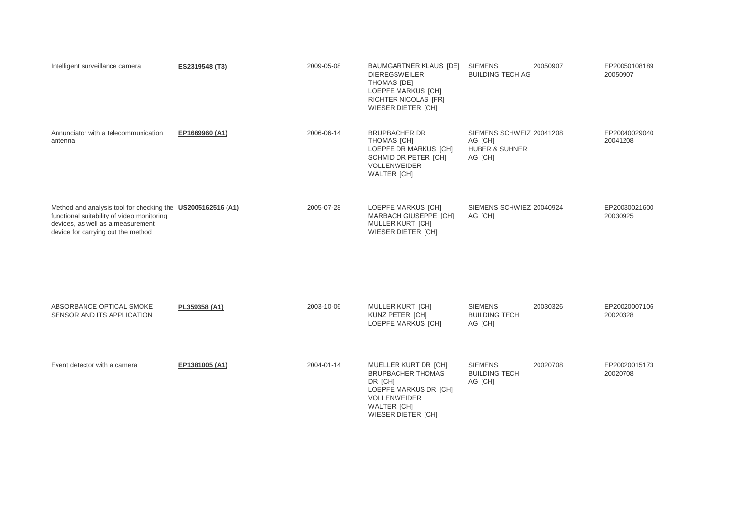| Intelligent surveillance camera                                                                                                                                                      | ES2319548 (T3) | 2009-05-08 | BAUMGARTNER KLAUS [DE]<br><b>DIEREGSWEILER</b><br>THOMAS [DE]<br>LOEPFE MARKUS [CH]<br>RICHTER NICOLAS [FR]<br><b>WIESER DIETER [CH]</b>         | <b>SIEMENS</b><br><b>BUILDING TECH AG</b>                                   | 20050907 | EP20050108189<br>20050907 |
|--------------------------------------------------------------------------------------------------------------------------------------------------------------------------------------|----------------|------------|--------------------------------------------------------------------------------------------------------------------------------------------------|-----------------------------------------------------------------------------|----------|---------------------------|
| Annunciator with a telecommunication<br>antenna                                                                                                                                      | EP1669960 (A1) | 2006-06-14 | <b>BRUPBACHER DR</b><br>THOMAS [CH]<br>LOEPFE DR MARKUS [CH]<br>SCHMID DR PETER [CH]<br><b>VOLLENWEIDER</b><br><b>WALTER [CH]</b>                | SIEMENS SCHWEIZ 20041208<br>AG [CH]<br><b>HUBER &amp; SUHNER</b><br>AG [CH] |          | EP20040029040<br>20041208 |
| Method and analysis tool for checking the US2005162516 (A1)<br>functional suitability of video monitoring<br>devices, as well as a measurement<br>device for carrying out the method |                | 2005-07-28 | LOEPFE MARKUS [CH]<br><b>MARBACH GIUSEPPE [CH]</b><br>MULLER KURT [CH]<br>WIESER DIETER [CH]                                                     | SIEMENS SCHWIEZ 20040924<br>AG [CH]                                         |          | EP20030021600<br>20030925 |
| ABSORBANCE OPTICAL SMOKE<br>SENSOR AND ITS APPLICATION                                                                                                                               | PL359358 (A1)  | 2003-10-06 | MULLER KURT [CH]<br>KUNZ PETER [CH]<br>LOEPFE MARKUS [CH]                                                                                        | <b>SIEMENS</b><br><b>BUILDING TECH</b><br>AG [CH]                           | 20030326 | EP20020007106<br>20020328 |
| Event detector with a camera                                                                                                                                                         | EP1381005 (A1) | 2004-01-14 | MUELLER KURT DR [CH]<br><b>BRUPBACHER THOMAS</b><br>DR [CH]<br>LOEPFE MARKUS DR [CH]<br>VOLLENWEIDER<br><b>WALTER [CH]</b><br>WIESER DIETER [CH] | <b>SIEMENS</b><br><b>BUILDING TECH</b><br>AG [CH]                           | 20020708 | EP20020015173<br>20020708 |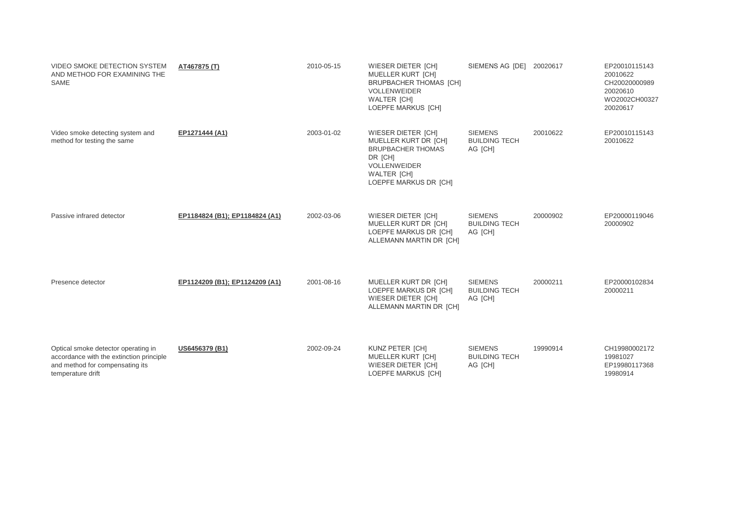| <b>VIDEO SMOKE DETECTION SYSTEM</b><br>AND METHOD FOR EXAMINING THE<br>SAME                                                             | AT467875 (T)                   | 2010-05-15 | <b>WIESER DIETER [CH]</b><br>MUELLER KURT [CH]<br><b>BRUPBACHER THOMAS [CH]</b><br><b>VOLLENWEIDER</b><br><b>WALTER [CH]</b><br>LOEPFE MARKUS [CH]      | SIEMENS AG [DE] 20020617                          |          | EP20010115143<br>20010622<br>CH20020000989<br>20020610<br>WO2002CH00327<br>20020617 |
|-----------------------------------------------------------------------------------------------------------------------------------------|--------------------------------|------------|---------------------------------------------------------------------------------------------------------------------------------------------------------|---------------------------------------------------|----------|-------------------------------------------------------------------------------------|
| Video smoke detecting system and<br>method for testing the same                                                                         | EP1271444 (A1)                 | 2003-01-02 | WIESER DIETER [CH]<br>MUELLER KURT DR [CH]<br><b>BRUPBACHER THOMAS</b><br>DR [CH]<br><b>VOLLENWEIDER</b><br><b>WALTER [CH]</b><br>LOEPFE MARKUS DR [CH] | <b>SIEMENS</b><br><b>BUILDING TECH</b><br>AG [CH] | 20010622 | EP20010115143<br>20010622                                                           |
| Passive infrared detector                                                                                                               | EP1184824 (B1); EP1184824 (A1) | 2002-03-06 | <b>WIESER DIETER [CH]</b><br>MUELLER KURT DR [CH]<br>LOEPFE MARKUS DR [CH]<br>ALLEMANN MARTIN DR [CH]                                                   | <b>SIEMENS</b><br><b>BUILDING TECH</b><br>AG [CH] | 20000902 | EP20000119046<br>20000902                                                           |
| Presence detector                                                                                                                       | EP1124209 (B1); EP1124209 (A1) | 2001-08-16 | MUELLER KURT DR [CH]<br>LOEPFE MARKUS DR [CH]<br>WIESER DIETER [CH]<br>ALLEMANN MARTIN DR [CH]                                                          | <b>SIEMENS</b><br><b>BUILDING TECH</b><br>AG [CH] | 20000211 | EP20000102834<br>20000211                                                           |
| Optical smoke detector operating in<br>accordance with the extinction principle<br>and method for compensating its<br>temperature drift | US6456379 (B1)                 | 2002-09-24 | KUNZ PETER [CH]<br>MUELLER KURT [CH]<br>WIESER DIETER [CH]<br>LOEPFE MARKUS [CH]                                                                        | <b>SIEMENS</b><br><b>BUILDING TECH</b><br>AG [CH] | 19990914 | CH19980002172<br>19981027<br>EP19980117368<br>19980914                              |